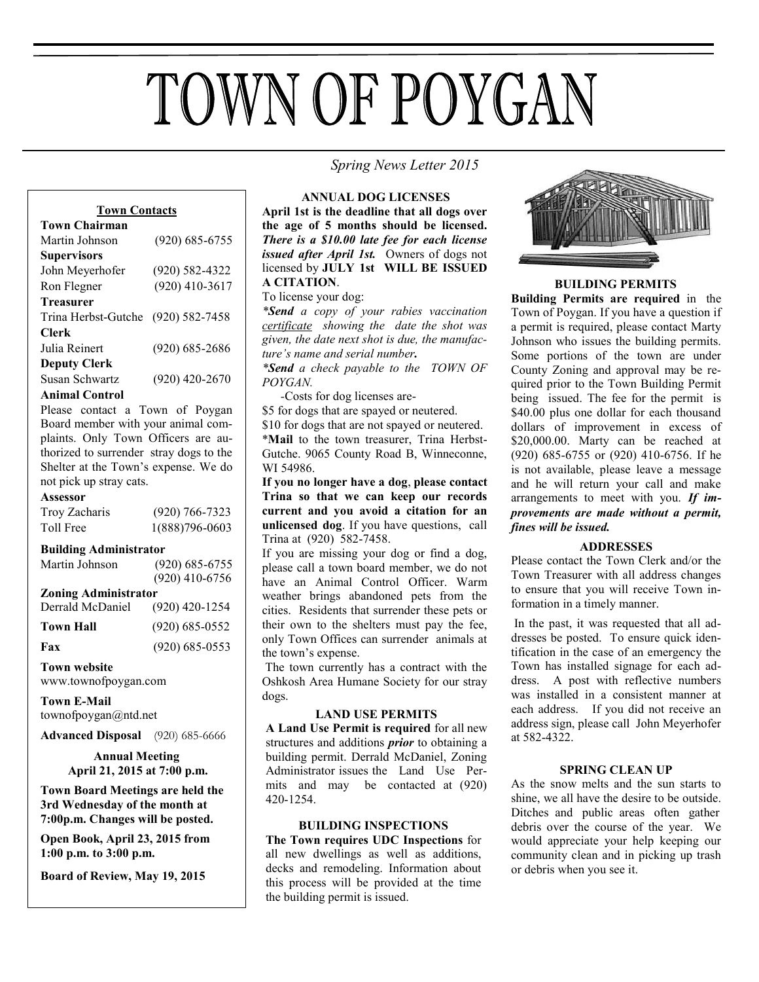# TOWN OF POYGAN

 *Spring News Letter 2015*

#### **Town Contacts**

| <b>Town Chairman</b>                                                                                                                                                                                                                                                                                                                                                                          |                    |
|-----------------------------------------------------------------------------------------------------------------------------------------------------------------------------------------------------------------------------------------------------------------------------------------------------------------------------------------------------------------------------------------------|--------------------|
| Martin Johnson                                                                                                                                                                                                                                                                                                                                                                                | $(920) 685 - 6755$ |
| <b>Supervisors</b>                                                                                                                                                                                                                                                                                                                                                                            |                    |
| John Meyerhofer                                                                                                                                                                                                                                                                                                                                                                               | $(920) 582 - 4322$ |
| Ron Flegner                                                                                                                                                                                                                                                                                                                                                                                   | $(920)$ 410-3617   |
| <b>Treasurer</b>                                                                                                                                                                                                                                                                                                                                                                              |                    |
| Trina Herbst-Gutche                                                                                                                                                                                                                                                                                                                                                                           | $(920) 582 - 7458$ |
| Clerk                                                                                                                                                                                                                                                                                                                                                                                         |                    |
| Julia Reinert                                                                                                                                                                                                                                                                                                                                                                                 | $(920) 685 - 2686$ |
| <b>Deputy Clerk</b>                                                                                                                                                                                                                                                                                                                                                                           |                    |
| Susan Schwartz                                                                                                                                                                                                                                                                                                                                                                                | $(920)$ 420-2670   |
| $\lambda$ - $\lambda$ - $\lambda$ - $\lambda$ - $\lambda$ - $\lambda$ - $\lambda$ - $\lambda$ - $\lambda$ - $\lambda$ - $\lambda$ - $\lambda$ - $\lambda$ - $\lambda$ - $\lambda$ - $\lambda$ - $\lambda$ - $\lambda$ - $\lambda$ - $\lambda$ - $\lambda$ - $\lambda$ - $\lambda$ - $\lambda$ - $\lambda$ - $\lambda$ - $\lambda$ - $\lambda$ - $\lambda$ - $\lambda$ - $\lambda$ - $\lambda$ |                    |

**Animal Control**

Please contact a Town of Poygan Board member with your animal complaints. Only Town Officers are authorized to surrender stray dogs to the Shelter at the Town's expense. We do not pick up stray cats.

#### **Assessor**

| Troy Zacharis | $(920)$ 766-7323 |
|---------------|------------------|
| Toll Free     | 1(888)796-0603   |

#### **Building Administrator**

| Martin Johnson              | $(920)$ 685-6755   |  |
|-----------------------------|--------------------|--|
|                             | $(920)$ 410-6756   |  |
| <b>Zoning Administrator</b> |                    |  |
| Derrald McDaniel            | $(920)$ 420-1254   |  |
| <b>Town Hall</b>            | $(920) 685 - 0552$ |  |

**Fax** (920) 685-0553 **Town website**

www.townofpoygan.com

**Town E-Mail**  townofpoygan@ntd.net

**Advanced Disposal** (920) 685-6666

## **Annual Meeting April 21, 2015 at 7:00 p.m.**

**Town Board Meetings are held the 3rd Wednesday of the month at 7:00p.m. Changes will be posted.**

**Open Book, April 23, 2015 from 1:00 p.m. to 3:00 p.m.**

**Board of Review, May 19, 2015** 

**ANNUAL DOG LICENSES April 1st is the deadline that all dogs over the age of 5 months should be licensed.**  *There is a \$10.00 late fee for each license issued after April 1st.* Owners of dogs not licensed by **JULY 1st WILL BE ISSUED A CITATION**.

## To license your dog:

*\*Send a copy of your rabies vaccination certificate showing the date the shot was given, the date next shot is due, the manufacture's name and serial number.*

*\*Send a check payable to the TOWN OF POYGAN.*

 *-*Costs for dog licenses are-

\$5 for dogs that are spayed or neutered.

\$10 for dogs that are not spayed or neutered. \***Mail** to the town treasurer, Trina Herbst-Gutche. 9065 County Road B, Winneconne, WI 54986.

**If you no longer have a dog**, **please contact Trina so that we can keep our records current and you avoid a citation for an unlicensed dog**. If you have questions, call Trina at (920) 582-7458.

If you are missing your dog or find a dog, please call a town board member, we do not have an Animal Control Officer. Warm weather brings abandoned pets from the cities. Residents that surrender these pets or their own to the shelters must pay the fee, only Town Offices can surrender animals at the town's expense.

The town currently has a contract with the Oshkosh Area Humane Society for our stray dogs.

#### **LAND USE PERMITS**

**A Land Use Permit is required** for all new structures and additions *prior* to obtaining a building permit. Derrald McDaniel, Zoning Administrator issues the Land Use Permits and may be contacted at (920) 420-1254.

#### **BUILDING INSPECTIONS**

**The Town requires UDC Inspections** for all new dwellings as well as additions, decks and remodeling. Information about this process will be provided at the time the building permit is issued.



#### **BUILDING PERMITS**

**Building Permits are required** in the Town of Poygan. If you have a question if a permit is required, please contact Marty Johnson who issues the building permits. Some portions of the town are under County Zoning and approval may be required prior to the Town Building Permit being issued. The fee for the permit is \$40.00 plus one dollar for each thousand dollars of improvement in excess of \$20,000.00. Marty can be reached at (920) 685-6755 or (920) 410-6756. If he is not available, please leave a message and he will return your call and make arrangements to meet with you. *If improvements are made without a permit, fines will be issued.*

## **ADDRESSES**

Please contact the Town Clerk and/or the Town Treasurer with all address changes to ensure that you will receive Town information in a timely manner.

In the past, it was requested that all addresses be posted. To ensure quick identification in the case of an emergency the Town has installed signage for each address. A post with reflective numbers was installed in a consistent manner at each address. If you did not receive an address sign, please call John Meyerhofer at 582-4322.

#### **SPRING CLEAN UP**

As the snow melts and the sun starts to shine, we all have the desire to be outside. Ditches and public areas often gather debris over the course of the year. We would appreciate your help keeping our community clean and in picking up trash or debris when you see it.